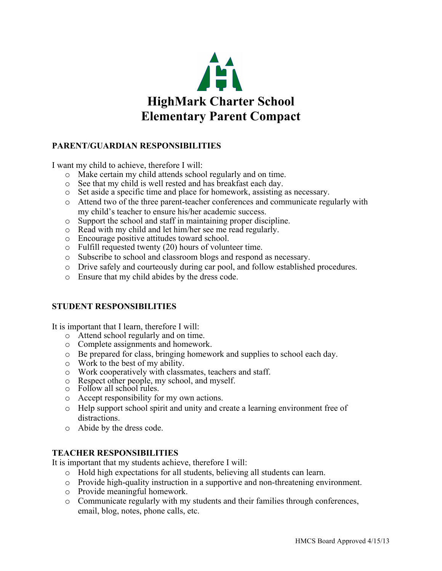

## **PARENT/GUARDIAN RESPONSIBILITIES**

I want my child to achieve, therefore I will:

- o Make certain my child attends school regularly and on time.
- o See that my child is well rested and has breakfast each day.
- o Set aside a specific time and place for homework, assisting as necessary.
- o Attend two of the three parent-teacher conferences and communicate regularly with my child's teacher to ensure his/her academic success.
- o Support the school and staff in maintaining proper discipline.
- o Read with my child and let him/her see me read regularly.
- o Encourage positive attitudes toward school.
- o Fulfill requested twenty (20) hours of volunteer time.
- o Subscribe to school and classroom blogs and respond as necessary.
- o Drive safely and courteously during car pool, and follow established procedures.
- o Ensure that my child abides by the dress code.

## **STUDENT RESPONSIBILITIES**

It is important that I learn, therefore I will:

- o Attend school regularly and on time.
- o Complete assignments and homework.
- o Be prepared for class, bringing homework and supplies to school each day.
- o Work to the best of my ability.
- o Work cooperatively with classmates, teachers and staff.
- o Respect other people, my school, and myself.
- o Follow all school rules.
- o Accept responsibility for my own actions.
- o Help support school spirit and unity and create a learning environment free of distractions.
- o Abide by the dress code.

## **TEACHER RESPONSIBILITIES**

It is important that my students achieve, therefore I will:

- o Hold high expectations for all students, believing all students can learn.
- o Provide high-quality instruction in a supportive and non-threatening environment.
- o Provide meaningful homework.
- o Communicate regularly with my students and their families through conferences, email, blog, notes, phone calls, etc.